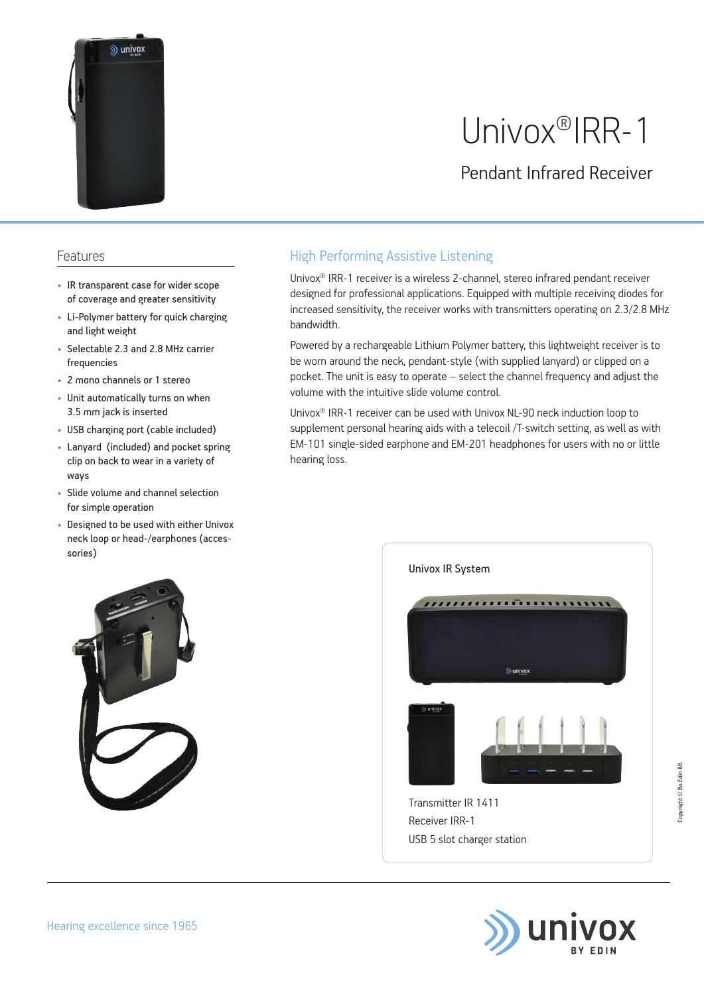

# Univox®IRR-1

Pendant Infrared Receiver

#### Features

- IR transparent case for wider scope of coverage and greater sensitivity
- Li-Polymer battery for quick charging and light weight
- Selectable 2.3 and 2.8 MHz carrier frequencies
- 2 mono channels or 1 stereo
- Unit automatically turns on when 3.5 mm jack is inserted
- USB charging port (cable included)
- Lanyard (included) and pocket spring clip on back to wear in a variety of ways
- Slide volume and channel selection for simple operation
- Designed to be used with either Univox neck loop or head-/earphones (accessories)

### High Performing Assistive Listening

Univox® IRR-1 receiver is a wireless 2-channel, stereo infrared pendant receiver designed for professional applications. Equipped with multiple receiving diodes for increased sensitivity, the receiver works with transmitters operating on 2.3/2.8 MHz bandwidth.

Powered by a rechargeable Lithium Polymer battery, this lightweight receiver is to be worn around the neck, pendant-style (with supplied lanyard) or clipped on a pocket. The unit is easy to operate – select the channel frequency and adjust the volume with the intuitive slide volume control.

Univox® IRR-1 receiver can be used with Univox NL-90 neck induction loop to supplement personal hearing aids with a telecoil /T-switch setting, as well as with EM-101 single-sided earphone and EM-201 headphones for users with no or little hearing loss.